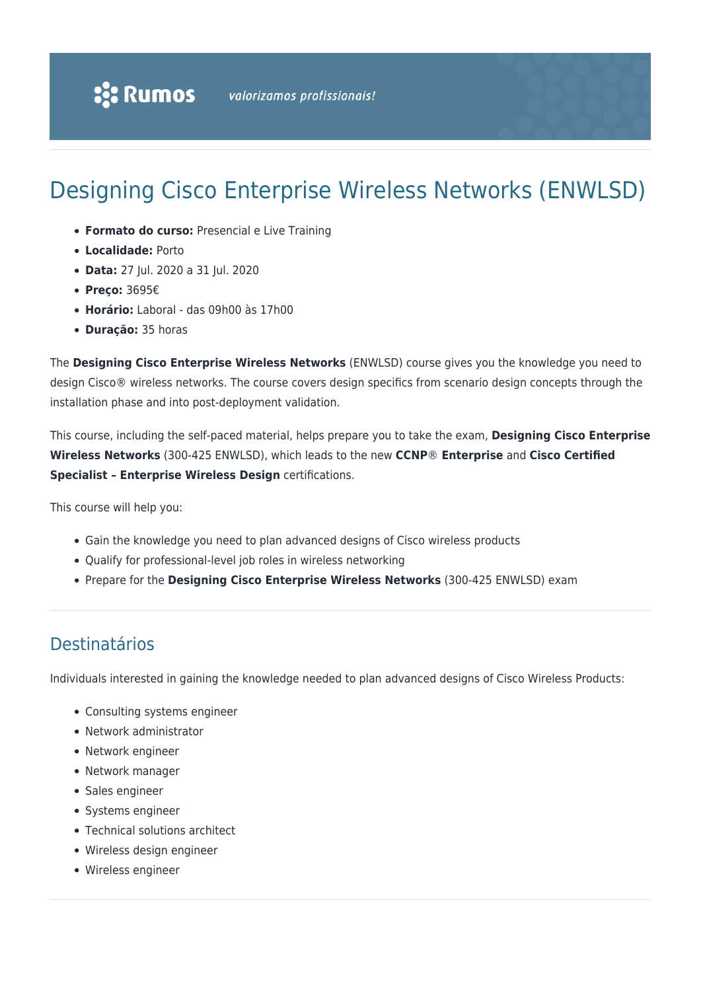# Designing Cisco Enterprise Wireless Networks (ENWLSD)

- **Formato do curso:** Presencial e Live Training
- **Localidade:** Porto
- **Data:** 27 Jul. 2020 a 31 Jul. 2020
- **Preço:** 3695€
- **Horário:** Laboral das 09h00 às 17h00
- **Duração:** 35 horas

The **Designing Cisco Enterprise Wireless Networks** (ENWLSD) course gives you the knowledge you need to design Cisco® wireless networks. The course covers design specifics from scenario design concepts through the installation phase and into post-deployment validation.

This course, including the self-paced material, helps prepare you to take the exam, **Designing Cisco Enterprise Wireless Networks** (300-425 ENWLSD), which leads to the new **CCNP**® **Enterprise** and **Cisco Certified Specialist – Enterprise Wireless Design** certifications.

This course will help you:

- Gain the knowledge you need to plan advanced designs of Cisco wireless products
- Qualify for professional-level job roles in wireless networking
- Prepare for the **Designing Cisco Enterprise Wireless Networks** (300-425 ENWLSD) exam

## Destinatários

Individuals interested in gaining the knowledge needed to plan advanced designs of Cisco Wireless Products:

- Consulting systems engineer
- Network administrator
- Network engineer
- Network manager
- Sales engineer
- Systems engineer
- Technical solutions architect
- Wireless design engineer
- Wireless engineer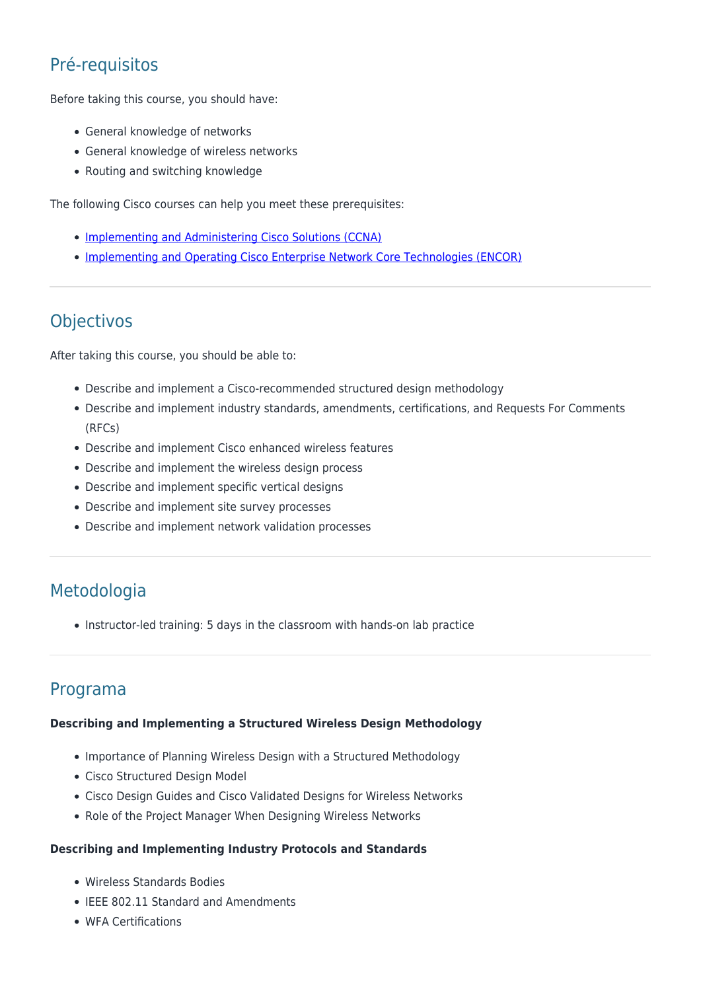# Pré-requisitos

Before taking this course, you should have:

- General knowledge of networks
- General knowledge of wireless networks
- Routing and switching knowledge

The following Cisco courses can help you meet these prerequisites:

- [Implementing and Administering Cisco Solutions \(CCNA\)](https://rumos.pt/curso/implementing-and-administering-cisco-solutions-ccna-presencial/)
- **[Implementing and Operating Cisco Enterprise Network Core Technologies \(ENCOR\)](https://rumos.pt/curso/implementing-and-operating-cisco-enterprise-network-core-technologies-encor-presencial/)**

## **Objectivos**

After taking this course, you should be able to:

- Describe and implement a Cisco-recommended structured design methodology
- Describe and implement industry standards, amendments, certifications, and Requests For Comments (RFCs)
- Describe and implement Cisco enhanced wireless features
- Describe and implement the wireless design process
- Describe and implement specific vertical designs
- Describe and implement site survey processes
- Describe and implement network validation processes

# Metodologia

• Instructor-led training: 5 days in the classroom with hands-on lab practice

### Programa

#### **Describing and Implementing a Structured Wireless Design Methodology**

- Importance of Planning Wireless Design with a Structured Methodology
- Cisco Structured Design Model
- Cisco Design Guides and Cisco Validated Designs for Wireless Networks
- Role of the Project Manager When Designing Wireless Networks

#### **Describing and Implementing Industry Protocols and Standards**

- Wireless Standards Bodies
- IEEE 802.11 Standard and Amendments
- WFA Certifications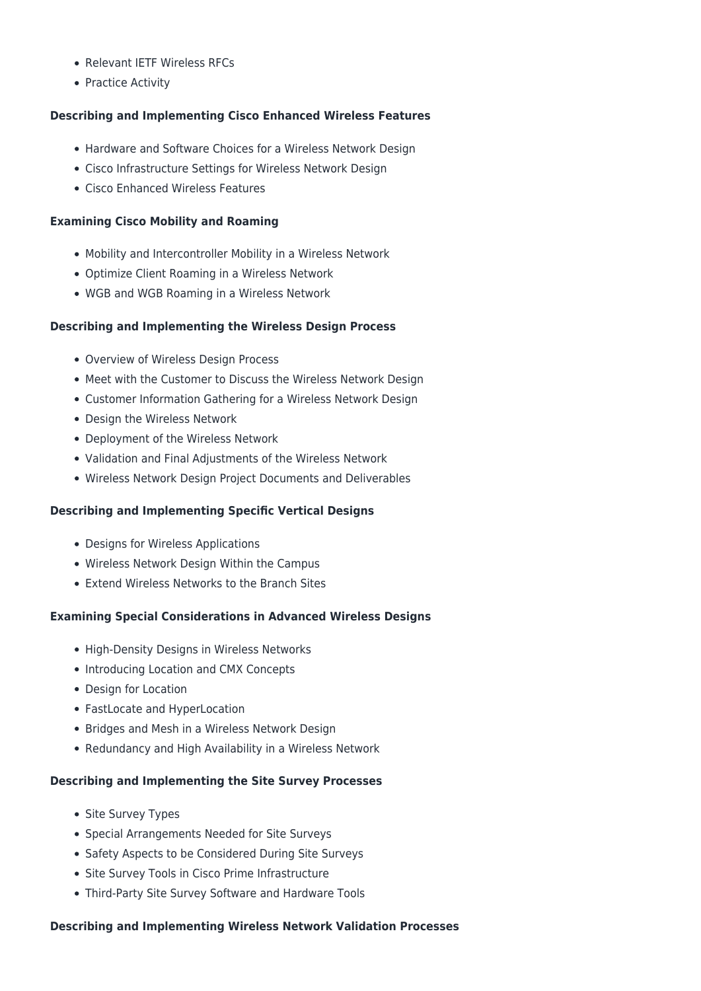- Relevant IETF Wireless RFCs
- Practice Activity

#### **Describing and Implementing Cisco Enhanced Wireless Features**

- Hardware and Software Choices for a Wireless Network Design
- Cisco Infrastructure Settings for Wireless Network Design
- Cisco Enhanced Wireless Features

#### **Examining Cisco Mobility and Roaming**

- Mobility and Intercontroller Mobility in a Wireless Network
- Optimize Client Roaming in a Wireless Network
- WGB and WGB Roaming in a Wireless Network

#### **Describing and Implementing the Wireless Design Process**

- Overview of Wireless Design Process
- Meet with the Customer to Discuss the Wireless Network Design
- Customer Information Gathering for a Wireless Network Design
- Design the Wireless Network
- Deployment of the Wireless Network
- Validation and Final Adjustments of the Wireless Network
- Wireless Network Design Project Documents and Deliverables

#### **Describing and Implementing Specific Vertical Designs**

- Designs for Wireless Applications
- Wireless Network Design Within the Campus
- Extend Wireless Networks to the Branch Sites

#### **Examining Special Considerations in Advanced Wireless Designs**

- High-Density Designs in Wireless Networks
- Introducing Location and CMX Concepts
- Design for Location
- FastLocate and HyperLocation
- Bridges and Mesh in a Wireless Network Design
- Redundancy and High Availability in a Wireless Network

#### **Describing and Implementing the Site Survey Processes**

- Site Survey Types
- Special Arrangements Needed for Site Surveys
- Safety Aspects to be Considered During Site Surveys
- Site Survey Tools in Cisco Prime Infrastructure
- Third-Party Site Survey Software and Hardware Tools

#### **Describing and Implementing Wireless Network Validation Processes**